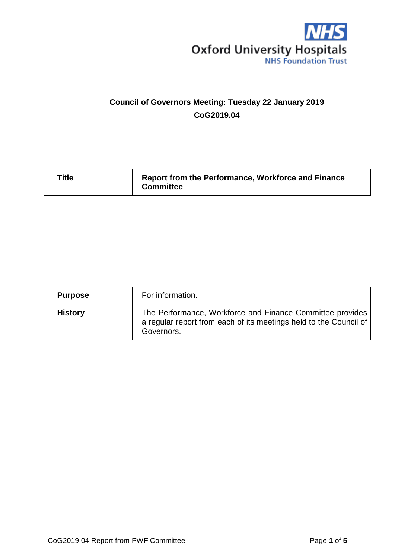

# **Council of Governors Meeting: Tuesday 22 January 2019 CoG2019.04**

| Title | Report from the Performance, Workforce and Finance<br><b>Committee</b> |
|-------|------------------------------------------------------------------------|
|       |                                                                        |

| <b>Purpose</b> | For information.                                                                                                                             |
|----------------|----------------------------------------------------------------------------------------------------------------------------------------------|
| <b>History</b> | The Performance, Workforce and Finance Committee provides<br>a regular report from each of its meetings held to the Council of<br>Governors. |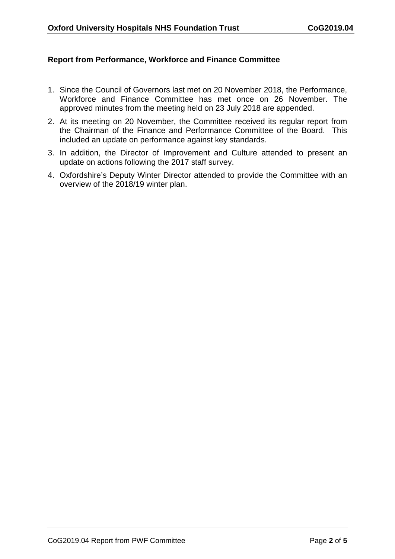## **Report from Performance, Workforce and Finance Committee**

- 1. Since the Council of Governors last met on 20 November 2018, the Performance, Workforce and Finance Committee has met once on 26 November. The approved minutes from the meeting held on 23 July 2018 are appended.
- 2. At its meeting on 20 November, the Committee received its regular report from the Chairman of the Finance and Performance Committee of the Board. This included an update on performance against key standards.
- 3. In addition, the Director of Improvement and Culture attended to present an update on actions following the 2017 staff survey.
- 4. Oxfordshire's Deputy Winter Director attended to provide the Committee with an overview of the 2018/19 winter plan.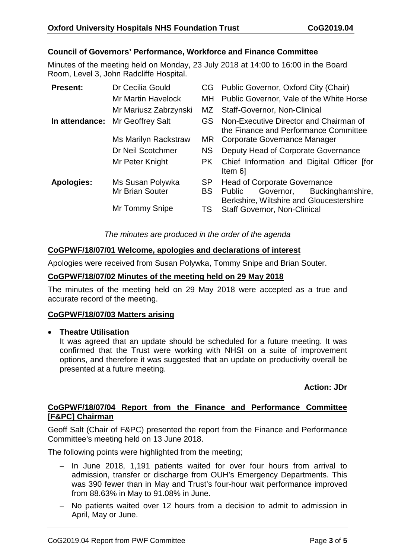# **Council of Governors' Performance, Workforce and Finance Committee**

Minutes of the meeting held on Monday, 23 July 2018 at 14:00 to 16:00 in the Board Room, Level 3, John Radcliffe Hospital.

| <b>Present:</b>   | Dr Cecilia Gould          |           | CG Public Governor, Oxford City (Chair)                                             |
|-------------------|---------------------------|-----------|-------------------------------------------------------------------------------------|
|                   | <b>Mr Martin Havelock</b> | MH.       | Public Governor, Vale of the White Horse                                            |
|                   | Mr Mariusz Zabrzynski     | MZ.       | <b>Staff-Governor, Non-Clinical</b>                                                 |
| In attendance:    | <b>Mr Geoffrey Salt</b>   | GS.       | Non-Executive Director and Chairman of<br>the Finance and Performance Committee     |
|                   | Ms Marilyn Rackstraw      | MR.       | Corporate Governance Manager                                                        |
|                   | Dr Neil Scotchmer         | NS.       | Deputy Head of Corporate Governance                                                 |
|                   | Mr Peter Knight           | PK.       | Chief Information and Digital Officer [for<br>Item 6]                               |
| <b>Apologies:</b> | Ms Susan Polywka          | <b>SP</b> | <b>Head of Corporate Governance</b>                                                 |
|                   | <b>Mr Brian Souter</b>    | <b>BS</b> | Public<br>Buckinghamshire,<br>Governor,<br>Berkshire, Wiltshire and Gloucestershire |
|                   | Mr Tommy Snipe            | TS        | <b>Staff Governor, Non-Clinical</b>                                                 |

## *The minutes are produced in the order of the agenda*

#### **CoGPWF/18/07/01 Welcome, apologies and declarations of interest**

Apologies were received from Susan Polywka, Tommy Snipe and Brian Souter.

## **CoGPWF/18/07/02 Minutes of the meeting held on 29 May 2018**

The minutes of the meeting held on 29 May 2018 were accepted as a true and accurate record of the meeting.

#### **CoGPWF/18/07/03 Matters arising**

#### • **Theatre Utilisation**

It was agreed that an update should be scheduled for a future meeting. It was confirmed that the Trust were working with NHSI on a suite of improvement options, and therefore it was suggested that an update on productivity overall be presented at a future meeting.

## **Action: JDr**

## **CoGPWF/18/07/04 Report from the Finance and Performance Committee [F&PC] Chairman**

Geoff Salt (Chair of F&PC) presented the report from the Finance and Performance Committee's meeting held on 13 June 2018.

The following points were highlighted from the meeting;

- − In June 2018, 1,191 patients waited for over four hours from arrival to admission, transfer or discharge from OUH's Emergency Departments. This was 390 fewer than in May and Trust's four-hour wait performance improved from 88.63% in May to 91.08% in June.
- − No patients waited over 12 hours from a decision to admit to admission in April, May or June.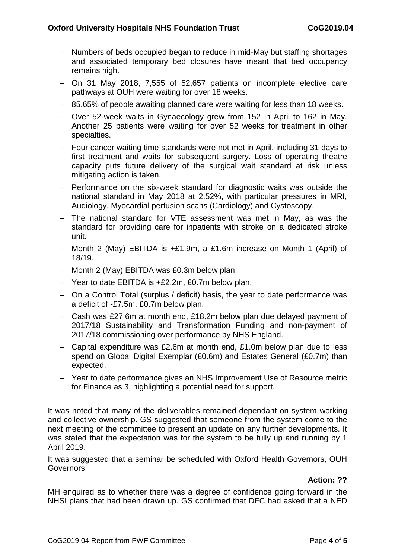- − Numbers of beds occupied began to reduce in mid-May but staffing shortages and associated temporary bed closures have meant that bed occupancy remains high.
- − On 31 May 2018, 7,555 of 52,657 patients on incomplete elective care pathways at OUH were waiting for over 18 weeks.
- − 85.65% of people awaiting planned care were waiting for less than 18 weeks.
- − Over 52-week waits in Gynaecology grew from 152 in April to 162 in May. Another 25 patients were waiting for over 52 weeks for treatment in other specialties.
- − Four cancer waiting time standards were not met in April, including 31 days to first treatment and waits for subsequent surgery. Loss of operating theatre capacity puts future delivery of the surgical wait standard at risk unless mitigating action is taken.
- − Performance on the six-week standard for diagnostic waits was outside the national standard in May 2018 at 2.52%, with particular pressures in MRI, Audiology, Myocardial perfusion scans (Cardiology) and Cystoscopy.
- − The national standard for VTE assessment was met in May, as was the standard for providing care for inpatients with stroke on a dedicated stroke unit.
- − Month 2 (May) EBITDA is +£1.9m, a £1.6m increase on Month 1 (April) of 18/19.
- − Month 2 (May) EBITDA was £0.3m below plan.
- − Year to date EBITDA is +£2.2m, £0.7m below plan.
- − On a Control Total (surplus / deficit) basis, the year to date performance was a deficit of -£7.5m, £0.7m below plan.
- − Cash was £27.6m at month end, £18.2m below plan due delayed payment of 2017/18 Sustainability and Transformation Funding and non-payment of 2017/18 commissioning over performance by NHS England.
- − Capital expenditure was £2.6m at month end, £1.0m below plan due to less spend on Global Digital Exemplar (£0.6m) and Estates General (£0.7m) than expected.
- − Year to date performance gives an NHS Improvement Use of Resource metric for Finance as 3, highlighting a potential need for support.

It was noted that many of the deliverables remained dependant on system working and collective ownership. GS suggested that someone from the system come to the next meeting of the committee to present an update on any further developments. It was stated that the expectation was for the system to be fully up and running by 1 April 2019.

It was suggested that a seminar be scheduled with Oxford Health Governors, OUH Governors.

## **Action: ??**

MH enquired as to whether there was a degree of confidence going forward in the NHSI plans that had been drawn up. GS confirmed that DFC had asked that a NED